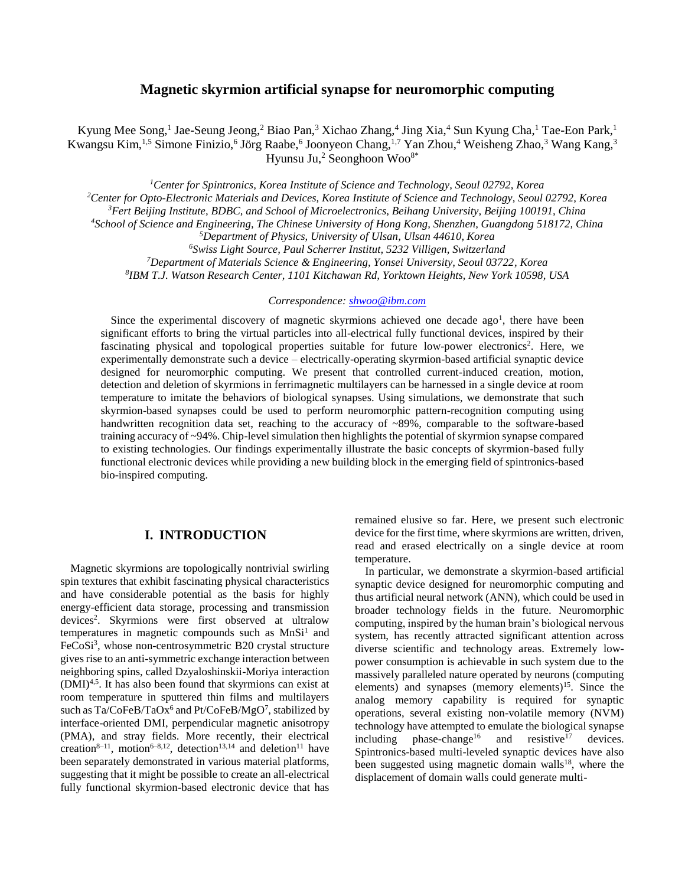## **Magnetic skyrmion artificial synapse for neuromorphic computing**

Kyung Mee Song,<sup>1</sup> Jae-Seung Jeong,<sup>2</sup> Biao Pan,<sup>3</sup> Xichao Zhang,<sup>4</sup> Jing Xia,<sup>4</sup> Sun Kyung Cha,<sup>1</sup> Tae-Eon Park,<sup>1</sup> Kwangsu Kim,<sup>1,5</sup> Simone Finizio,<sup>6</sup> Jörg Raabe,<sup>6</sup> Joonyeon Chang,<sup>1,7</sup> Yan Zhou,<sup>4</sup> Weisheng Zhao,<sup>3</sup> Wang Kang,<sup>3</sup> Hyunsu Ju,<sup>2</sup> Seonghoon Woo<sup>8\*</sup>

*Center for Spintronics, Korea Institute of Science and Technology, Seoul 02792, Korea Center for Opto-Electronic Materials and Devices, Korea Institute of Science and Technology, Seoul 02792, Korea Fert Beijing Institute, BDBC, and School of Microelectronics, Beihang University, Beijing 100191, China School of Science and Engineering, The Chinese University of Hong Kong, Shenzhen, Guangdong 518172, China Department of Physics, University of Ulsan, Ulsan 44610, Korea Swiss Light Source, Paul Scherrer Institut, 5232 Villigen, Switzerland Department of Materials Science & Engineering, Yonsei University, Seoul 03722, Korea IBM T.J. Watson Research Center, 1101 Kitchawan Rd, Yorktown Heights, New York 10598, USA*

### *Correspondence: [shwoo@ibm.com](mailto:shwoo@ibm.com)*

Since the experimental discovery of magnetic skyrmions achieved one decade ago<sup>1</sup>, there have been significant efforts to bring the virtual particles into all-electrical fully functional devices, inspired by their fascinating physical and topological properties suitable for future low-power electronics<sup>2</sup>. Here, we experimentally demonstrate such a device – electrically-operating skyrmion-based artificial synaptic device designed for neuromorphic computing. We present that controlled current-induced creation, motion, detection and deletion of skyrmions in ferrimagnetic multilayers can be harnessed in a single device at room temperature to imitate the behaviors of biological synapses. Using simulations, we demonstrate that such skyrmion-based synapses could be used to perform neuromorphic pattern-recognition computing using handwritten recognition data set, reaching to the accuracy of ~89%, comparable to the software-based training accuracy of ~94%. Chip-level simulation then highlights the potential of skyrmion synapse compared to existing technologies. Our findings experimentally illustrate the basic concepts of skyrmion-based fully functional electronic devices while providing a new building block in the emerging field of spintronics-based bio-inspired computing.

## **I. INTRODUCTION**

Magnetic skyrmions are topologically nontrivial swirling spin textures that exhibit fascinating physical characteristics and have considerable potential as the basis for highly energy-efficient data storage, processing and transmission devices<sup>2</sup> . Skyrmions were first observed at ultralow temperatures in magnetic compounds such as  $MnSi<sup>1</sup>$  and FeCoSi<sup>3</sup>, whose non-centrosymmetric B20 crystal structure gives rise to an anti-symmetric exchange interaction between neighboring spins, called Dzyaloshinskii-Moriya interaction (DMI)4,5. It has also been found that skyrmions can exist at room temperature in sputtered thin films and multilayers such as  $Ta/CoFeB/TaOx^6$  and  $Pt/CoFeB/MgO^7$ , stabilized by interface-oriented DMI, perpendicular magnetic anisotropy (PMA), and stray fields. More recently, their electrical creation<sup>8–11</sup>, motion<sup>6–8,12</sup>, detection<sup>13,14</sup> and deletion<sup>11</sup> have been separately demonstrated in various material platforms, suggesting that it might be possible to create an all-electrical fully functional skyrmion-based electronic device that has

remained elusive so far. Here, we present such electronic device for the first time, where skyrmions are written, driven, read and erased electrically on a single device at room temperature.

In particular, we demonstrate a skyrmion-based artificial synaptic device designed for neuromorphic computing and thus artificial neural network (ANN), which could be used in broader technology fields in the future. Neuromorphic computing, inspired by the human brain's biological nervous system, has recently attracted significant attention across diverse scientific and technology areas. Extremely lowpower consumption is achievable in such system due to the massively paralleled nature operated by neurons (computing elements) and synapses (memory elements)<sup>15</sup>. Since the analog memory capability is required for synaptic operations, several existing non-volatile memory (NVM) technology have attempted to emulate the biological synapse<br>including  $\epsilon$  phase-change<sup>16</sup> and resistive<sup>17</sup> devices. including phase-change<sup>16</sup> and resistive<sup>17</sup> devices. Spintronics-based multi-leveled synaptic devices have also been suggested using magnetic domain walls<sup>18</sup>, where the displacement of domain walls could generate multi-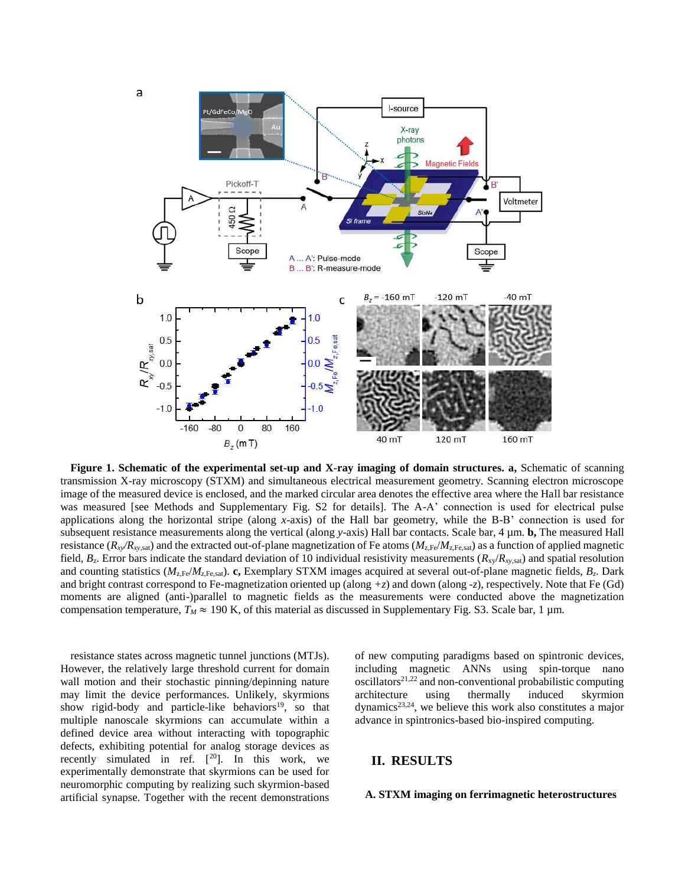

**Figure 1. Schematic of the experimental set-up and X-ray imaging of domain structures. a,** Schematic of scanning transmission X-ray microscopy (STXM) and simultaneous electrical measurement geometry. Scanning electron microscope image of the measured device is enclosed, and the marked circular area denotes the effective area where the Hall bar resistance was measured [see Methods and Supplementary Fig. S2 for details]. The A-A' connection is used for electrical pulse applications along the horizontal stripe (along *x*-axis) of the Hall bar geometry, while the B-B' connection is used for subsequent resistance measurements along the vertical (along *y*-axis) Hall bar contacts. Scale bar, 4 µm. **b,** The measured Hall resistance  $(R_{xy}/R_{xy, \text{sat}})$  and the extracted out-of-plane magnetization of Fe atoms  $(M_{z,\text{Fe}}/M_{z,\text{Fe}, \text{sat}})$  as a function of applied magnetic field, *B*z. Error bars indicate the standard deviation of 10 individual resistivity measurements (*R*xy/*Rxy*,sat) and spatial resolution and counting statistics ( $M_{\rm z,Fe}/M_{\rm z,Fe,sat}$ ). **c**, Exemplary STXM images acquired at several out-of-plane magnetic fields,  $B_z$ . Dark and bright contrast correspond to Fe-magnetization oriented up (along *+z*) and down (along -*z*), respectively. Note that Fe (Gd) moments are aligned (anti-)parallel to magnetic fields as the measurements were conducted above the magnetization compensation temperature,  $T_M \approx 190$  K, of this material as discussed in Supplementary Fig. S3. Scale bar, 1  $\mu$ m.

resistance states across magnetic tunnel junctions (MTJs). However, the relatively large threshold current for domain wall motion and their stochastic pinning/depinning nature may limit the device performances. Unlikely, skyrmions show rigid-body and particle-like behaviors<sup>19</sup>, so that multiple nanoscale skyrmions can accumulate within a defined device area without interacting with topographic defects, exhibiting potential for analog storage devices as recently simulated in ref.  $[20]$ . In this work, we experimentally demonstrate that skyrmions can be used for neuromorphic computing by realizing such skyrmion-based artificial synapse. Together with the recent demonstrations

of new computing paradigms based on spintronic devices, including magnetic ANNs using spin-torque nano oscillators<sup>21,22</sup> and non-conventional probabilistic computing architecture using thermally induced skyrmion dynamics<sup>23,24</sup>, we believe this work also constitutes a major advance in spintronics-based bio-inspired computing.

### **II. RESULTS**

#### **A. STXM imaging on ferrimagnetic heterostructures**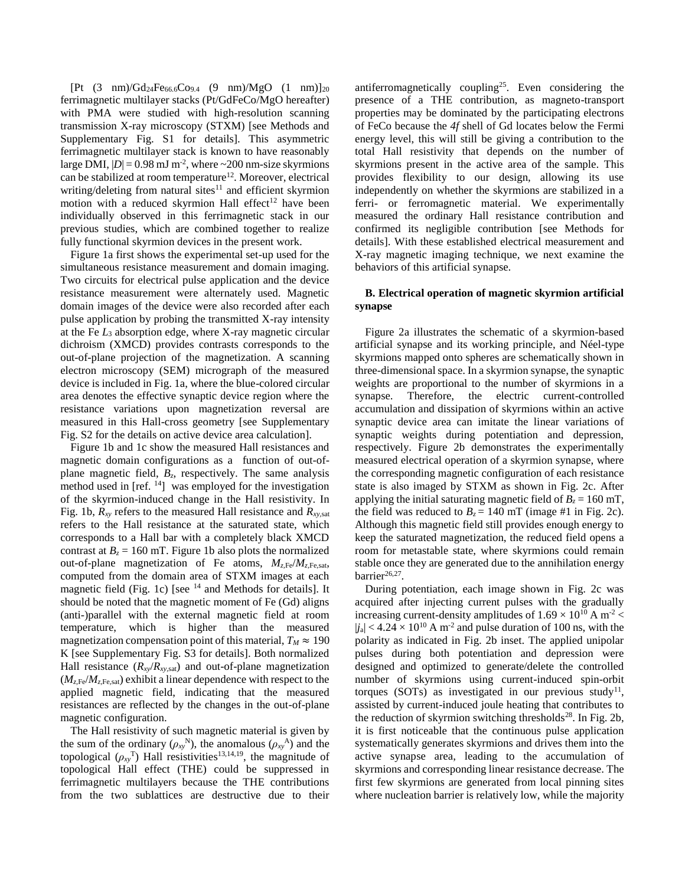$[Pt (3 nm)/Gd_{24}Fe_{66.6}Co_{9.4} (9 nm)/MgO (1 nm)]_{20}$ ferrimagnetic multilayer stacks (Pt/GdFeCo/MgO hereafter) with PMA were studied with high-resolution scanning transmission X-ray microscopy (STXM) [see Methods and Supplementary Fig. S1 for details]. This asymmetric ferrimagnetic multilayer stack is known to have reasonably large DMI,  $|D| = 0.98$  mJ m<sup>-2</sup>, where  $\sim 200$  nm-size skyrmions can be stabilized at room temperature<sup>12</sup>. Moreover, electrical writing/deleting from natural sites $11$  and efficient skyrmion motion with a reduced skyrmion Hall effect<sup>12</sup> have been individually observed in this ferrimagnetic stack in our previous studies, which are combined together to realize fully functional skyrmion devices in the present work.

Figure 1a first shows the experimental set-up used for the simultaneous resistance measurement and domain imaging. Two circuits for electrical pulse application and the device resistance measurement were alternately used. Magnetic domain images of the device were also recorded after each pulse application by probing the transmitted X-ray intensity at the Fe *L*<sup>3</sup> absorption edge, where X-ray magnetic circular dichroism (XMCD) provides contrasts corresponds to the out-of-plane projection of the magnetization. A scanning electron microscopy (SEM) micrograph of the measured device is included in Fig. 1a, where the blue-colored circular area denotes the effective synaptic device region where the resistance variations upon magnetization reversal are measured in this Hall-cross geometry [see Supplementary Fig. S2 for the details on active device area calculation].

Figure 1b and 1c show the measured Hall resistances and magnetic domain configurations as a function of out-ofplane magnetic field, *Bz*, respectively. The same analysis method used in [ref. <sup>14</sup>] was employed for the investigation of the skyrmion-induced change in the Hall resistivity. In Fig. 1b,  $R_{xy}$  refers to the measured Hall resistance and  $R_{xy, sat}$ refers to the Hall resistance at the saturated state, which corresponds to a Hall bar with a completely black XMCD contrast at  $B_z = 160$  mT. Figure 1b also plots the normalized out-of-plane magnetization of Fe atoms, *Mz,*Fe/*Mz,*Fe,sat, computed from the domain area of STXM images at each magnetic field (Fig. 1c) [see <sup>14</sup> and Methods for details]. It should be noted that the magnetic moment of Fe (Gd) aligns (anti-)parallel with the external magnetic field at room temperature, which is higher than the measured magnetization compensation point of this material,  $T_M \approx 190$ K [see Supplementary Fig. S3 for details]. Both normalized Hall resistance  $(R_{xy}/R_{xy, sat})$  and out-of-plane magnetization  $(M_{z,Fe}/M_{z,Fe,sat})$  exhibit a linear dependence with respect to the applied magnetic field, indicating that the measured resistances are reflected by the changes in the out-of-plane magnetic configuration.

The Hall resistivity of such magnetic material is given by the sum of the ordinary  $(\rho_{xy}^N)$ , the anomalous  $(\rho_{xy}^A)$  and the topological  $(\rho_{xy}^T)$  Hall resistivities<sup>13,14,19</sup>, the magnitude of topological Hall effect (THE) could be suppressed in ferrimagnetic multilayers because the THE contributions from the two sublattices are destructive due to their

antiferromagnetically coupling<sup>25</sup>. Even considering the presence of a THE contribution, as magneto-transport properties may be dominated by the participating electrons of FeCo because the *4f* shell of Gd locates below the Fermi energy level, this will still be giving a contribution to the total Hall resistivity that depends on the number of skyrmions present in the active area of the sample. This provides flexibility to our design, allowing its use independently on whether the skyrmions are stabilized in a ferri- or ferromagnetic material. We experimentally measured the ordinary Hall resistance contribution and confirmed its negligible contribution [see Methods for details]. With these established electrical measurement and X-ray magnetic imaging technique, we next examine the behaviors of this artificial synapse.

### **B. Electrical operation of magnetic skyrmion artificial synapse**

Figure 2a illustrates the schematic of a skyrmion-based artificial synapse and its working principle, and Néel-type skyrmions mapped onto spheres are schematically shown in three-dimensional space. In a skyrmion synapse, the synaptic weights are proportional to the number of skyrmions in a synapse. Therefore, the electric current-controlled accumulation and dissipation of skyrmions within an active synaptic device area can imitate the linear variations of synaptic weights during potentiation and depression, respectively. Figure 2b demonstrates the experimentally measured electrical operation of a skyrmion synapse, where the corresponding magnetic configuration of each resistance state is also imaged by STXM as shown in Fig. 2c. After applying the initial saturating magnetic field of  $B_z = 160$  mT, the field was reduced to  $B_z = 140$  mT (image #1 in Fig. 2c). Although this magnetic field still provides enough energy to keep the saturated magnetization, the reduced field opens a room for metastable state, where skyrmions could remain stable once they are generated due to the annihilation energy barrier<sup>26,27</sup>.

During potentiation, each image shown in Fig. 2c was acquired after injecting current pulses with the gradually increasing current-density amplitudes of  $1.69 \times 10^{10}$  A m<sup>-2</sup> <  $|j_a|$  < 4.24  $\times$  10<sup>10</sup> A m<sup>-2</sup> and pulse duration of 100 ns, with the polarity as indicated in Fig. 2b inset. The applied unipolar pulses during both potentiation and depression were designed and optimized to generate/delete the controlled number of skyrmions using current-induced spin-orbit torques (SOTs) as investigated in our previous study<sup>11</sup>, assisted by current-induced joule heating that contributes to the reduction of skyrmion switching thresholds<sup>28</sup>. In Fig. 2b, it is first noticeable that the continuous pulse application systematically generates skyrmions and drives them into the active synapse area, leading to the accumulation of skyrmions and corresponding linear resistance decrease. The first few skyrmions are generated from local pinning sites where nucleation barrier is relatively low, while the majority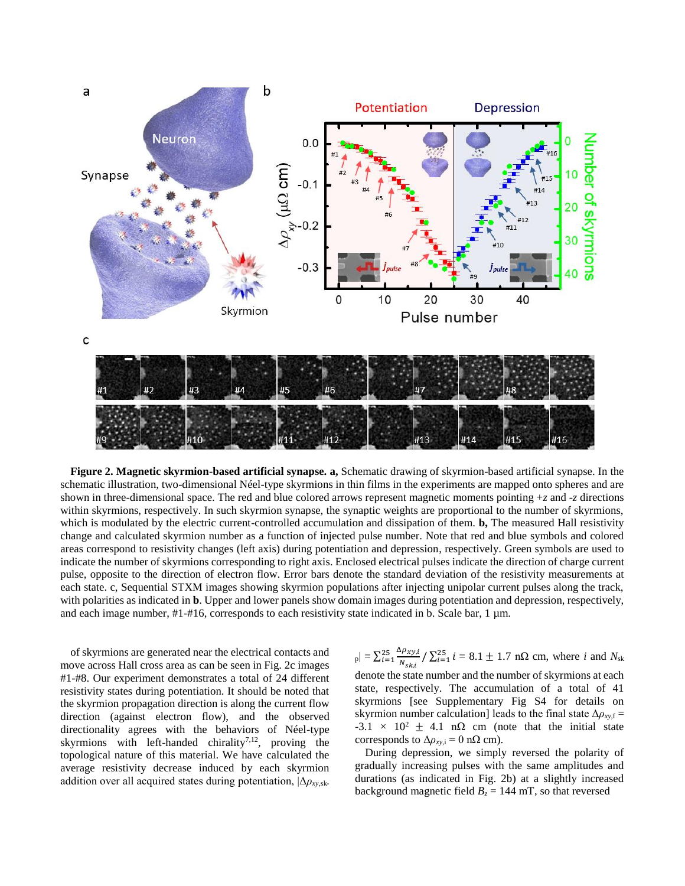

**Figure 2. Magnetic skyrmion-based artificial synapse. a,** Schematic drawing of skyrmion-based artificial synapse. In the schematic illustration, two-dimensional Néel-type skyrmions in thin films in the experiments are mapped onto spheres and are shown in three-dimensional space. The red and blue colored arrows represent magnetic moments pointing +*z* and -*z* directions within skyrmions, respectively. In such skyrmion synapse, the synaptic weights are proportional to the number of skyrmions, which is modulated by the electric current-controlled accumulation and dissipation of them. **b,** The measured Hall resistivity change and calculated skyrmion number as a function of injected pulse number. Note that red and blue symbols and colored areas correspond to resistivity changes (left axis) during potentiation and depression, respectively. Green symbols are used to indicate the number of skyrmions corresponding to right axis. Enclosed electrical pulses indicate the direction of charge current pulse, opposite to the direction of electron flow. Error bars denote the standard deviation of the resistivity measurements at each state. c, Sequential STXM images showing skyrmion populations after injecting unipolar current pulses along the track, with polarities as indicated in **b**. Upper and lower panels show domain images during potentiation and depression, respectively, and each image number,  $#1-#16$ , corresponds to each resistivity state indicated in b. Scale bar, 1  $\mu$ m.

of skyrmions are generated near the electrical contacts and move across Hall cross area as can be seen in Fig. 2c images #1-#8. Our experiment demonstrates a total of 24 different resistivity states during potentiation. It should be noted that the skyrmion propagation direction is along the current flow direction (against electron flow), and the observed directionality agrees with the behaviors of Néel-type skyrmions with left-handed chirality<sup>7,12</sup>, proving the topological nature of this material. We have calculated the average resistivity decrease induced by each skyrmion addition over all acquired states during potentiation, |Δ*ρxy*,sk-

 $|p| = \sum_{i=1}^{25} \frac{\Delta \rho_{xy,i}}{N}$  $N_{Sk,i}$  $\frac{25}{i} = \frac{\Delta p_{xy,i}}{N_{xx,i}} / \sum_{i=1}^{25} i = 8.1 \pm 1.7 \text{ n}\Omega \text{ cm}$ , where *i* and  $N_{sk}$ denote the state number and the number of skyrmions at each state, respectively. The accumulation of a total of 41 skyrmions [see Supplementary Fig S4 for details on skyrmion number calculation] leads to the final state  $\Delta \rho_{xy,f}$  =  $-3.1 \times 10^2 \pm 4.1$  nΩ cm (note that the initial state corresponds to  $\Delta \rho_{xy,i} = 0$  nΩ cm).

During depression, we simply reversed the polarity of gradually increasing pulses with the same amplitudes and durations (as indicated in Fig. 2b) at a slightly increased background magnetic field  $B_z = 144$  mT, so that reversed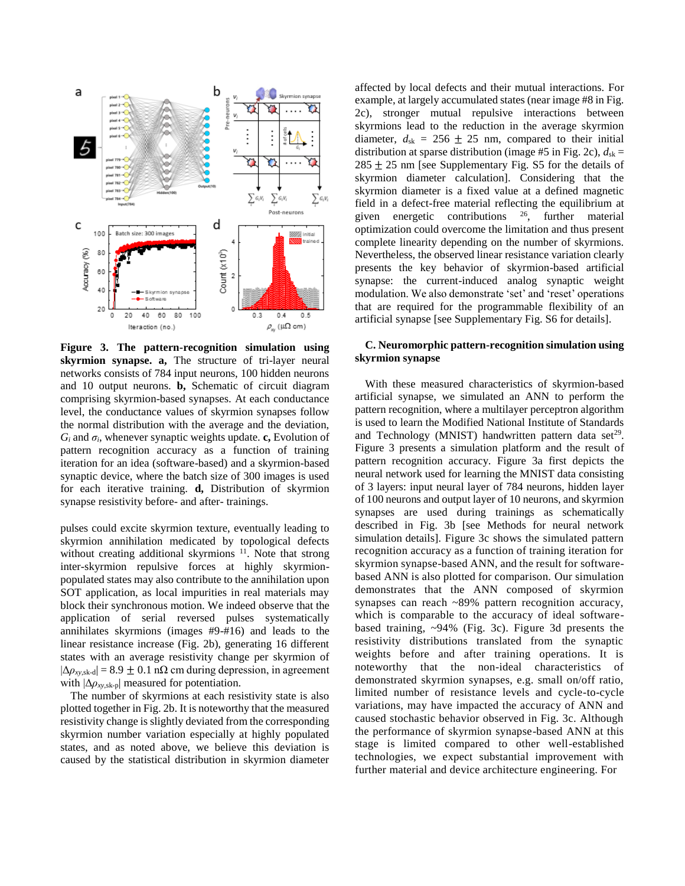

**Figure 3. The pattern-recognition simulation using skyrmion synapse. a,** The structure of tri-layer neural networks consists of 784 input neurons, 100 hidden neurons and 10 output neurons. **b,** Schematic of circuit diagram comprising skyrmion-based synapses. At each conductance level, the conductance values of skyrmion synapses follow the normal distribution with the average and the deviation,  $G_i$  and  $\sigma_i$ , whenever synaptic weights update. **c**, Evolution of pattern recognition accuracy as a function of training iteration for an idea (software-based) and a skyrmion-based synaptic device, where the batch size of 300 images is used for each iterative training. **d,** Distribution of skyrmion synapse resistivity before- and after- trainings.

pulses could excite skyrmion texture, eventually leading to skyrmion annihilation medicated by topological defects without creating additional skyrmions<sup>11</sup>. Note that strong inter-skyrmion repulsive forces at highly skyrmionpopulated states may also contribute to the annihilation upon SOT application, as local impurities in real materials may block their synchronous motion. We indeed observe that the application of serial reversed pulses systematically annihilates skyrmions (images #9-#16) and leads to the linear resistance increase (Fig. 2b), generating 16 different states with an average resistivity change per skyrmion of  $|\Delta \rho_{xy,sk-d}|$  = 8.9 ± 0.1 nΩ cm during depression, in agreement with |Δ*ρxy*,sk-p| measured for potentiation.

The number of skyrmions at each resistivity state is also plotted together in Fig. 2b. It is noteworthy that the measured resistivity change is slightly deviated from the corresponding skyrmion number variation especially at highly populated states, and as noted above, we believe this deviation is caused by the statistical distribution in skyrmion diameter

affected by local defects and their mutual interactions. For example, at largely accumulated states (near image #8 in Fig. 2c), stronger mutual repulsive interactions between skyrmions lead to the reduction in the average skyrmion diameter,  $d_{sk} = 256 \pm 25$  nm, compared to their initial distribution at sparse distribution (image #5 in Fig. 2c),  $d_{sk}$  =  $285 \pm 25$  nm [see Supplementary Fig. S5 for the details of skyrmion diameter calculation]. Considering that the skyrmion diameter is a fixed value at a defined magnetic field in a defect-free material reflecting the equilibrium at given energetic contributions <sup>26</sup>, further material optimization could overcome the limitation and thus present complete linearity depending on the number of skyrmions. Nevertheless, the observed linear resistance variation clearly presents the key behavior of skyrmion-based artificial synapse: the current-induced analog synaptic weight modulation. We also demonstrate 'set' and 'reset' operations that are required for the programmable flexibility of an artificial synapse [see Supplementary Fig. S6 for details].

### **C. Neuromorphic pattern-recognition simulation using skyrmion synapse**

With these measured characteristics of skyrmion-based artificial synapse, we simulated an ANN to perform the pattern recognition, where a multilayer perceptron algorithm is used to learn the Modified National Institute of Standards and Technology (MNIST) handwritten pattern data set<sup>29</sup>. Figure 3 presents a simulation platform and the result of pattern recognition accuracy. Figure 3a first depicts the neural network used for learning the MNIST data consisting of 3 layers: input neural layer of 784 neurons, hidden layer of 100 neurons and output layer of 10 neurons, and skyrmion synapses are used during trainings as schematically described in Fig. 3b [see Methods for neural network simulation details]. Figure 3c shows the simulated pattern recognition accuracy as a function of training iteration for skyrmion synapse-based ANN, and the result for softwarebased ANN is also plotted for comparison. Our simulation demonstrates that the ANN composed of skyrmion synapses can reach ~89% pattern recognition accuracy, which is comparable to the accuracy of ideal softwarebased training, ~94% (Fig. 3c). Figure 3d presents the resistivity distributions translated from the synaptic weights before and after training operations. It is noteworthy that the non-ideal characteristics of demonstrated skyrmion synapses, e.g. small on/off ratio, limited number of resistance levels and cycle-to-cycle variations, may have impacted the accuracy of ANN and caused stochastic behavior observed in Fig. 3c. Although the performance of skyrmion synapse-based ANN at this stage is limited compared to other well-established technologies, we expect substantial improvement with further material and device architecture engineering. For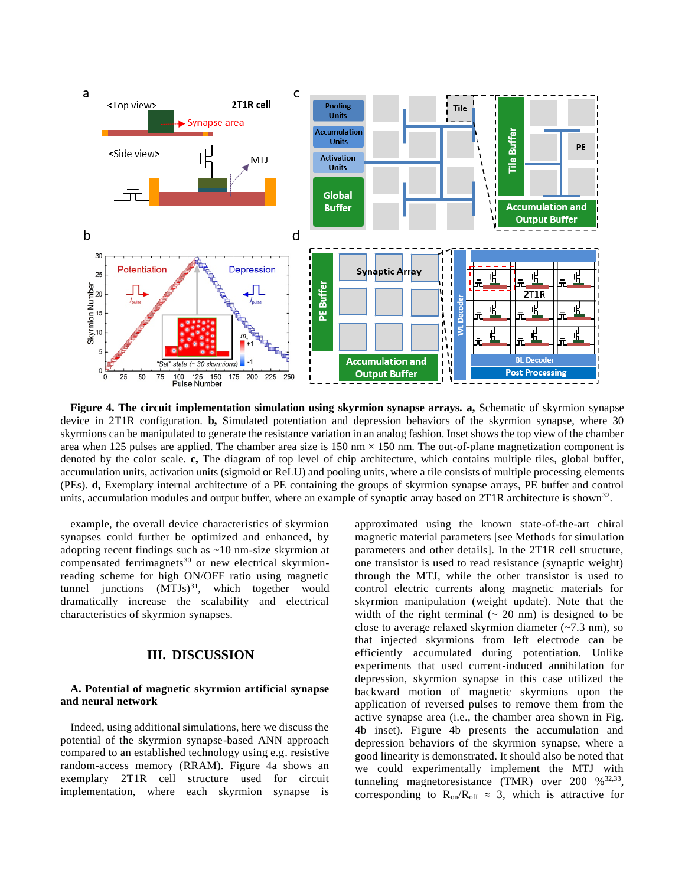

**Figure 4. The circuit implementation simulation using skyrmion synapse arrays. a,** Schematic of skyrmion synapse device in 2T1R configuration. **b,** Simulated potentiation and depression behaviors of the skyrmion synapse, where 30 skyrmions can be manipulated to generate the resistance variation in an analog fashion. Inset shows the top view of the chamber area when 125 pulses are applied. The chamber area size is 150 nm  $\times$  150 nm. The out-of-plane magnetization component is denoted by the color scale. **c,** The diagram of top level of chip architecture, which contains multiple tiles, global buffer, accumulation units, activation units (sigmoid or ReLU) and pooling units, where a tile consists of multiple processing elements (PEs). **d,** Exemplary internal architecture of a PE containing the groups of skyrmion synapse arrays, PE buffer and control units, accumulation modules and output buffer, where an example of synaptic array based on 2T1R architecture is shown<sup>32</sup>.

example, the overall device characteristics of skyrmion synapses could further be optimized and enhanced, by adopting recent findings such as ~10 nm-size skyrmion at compensated ferrimagnets<sup>30</sup> or new electrical skyrmionreading scheme for high ON/OFF ratio using magnetic tunnel junctions  $(MTJs)^{31}$ , which together would dramatically increase the scalability and electrical characteristics of skyrmion synapses.

## **III. DISCUSSION**

### **A. Potential of magnetic skyrmion artificial synapse and neural network**

Indeed, using additional simulations, here we discuss the potential of the skyrmion synapse-based ANN approach compared to an established technology using e.g. resistive random-access memory (RRAM). Figure 4a shows an exemplary 2T1R cell structure used for circuit implementation, where each skyrmion synapse is

approximated using the known state-of-the-art chiral magnetic material parameters [see Methods for simulation parameters and other details]. In the 2T1R cell structure, one transistor is used to read resistance (synaptic weight) through the MTJ, while the other transistor is used to control electric currents along magnetic materials for skyrmion manipulation (weight update). Note that the width of the right terminal  $(20 \text{ nm})$  is designed to be close to average relaxed skyrmion diameter (~7.3 nm), so that injected skyrmions from left electrode can be efficiently accumulated during potentiation. Unlike experiments that used current-induced annihilation for depression, skyrmion synapse in this case utilized the backward motion of magnetic skyrmions upon the application of reversed pulses to remove them from the active synapse area (i.e., the chamber area shown in Fig. 4b inset). Figure 4b presents the accumulation and depression behaviors of the skyrmion synapse, where a good linearity is demonstrated. It should also be noted that we could experimentally implement the MTJ with tunneling magnetoresistance (TMR) over  $200\%$ <sup>32,33</sup>, corresponding to  $R_{on}/R_{off} \approx 3$ , which is attractive for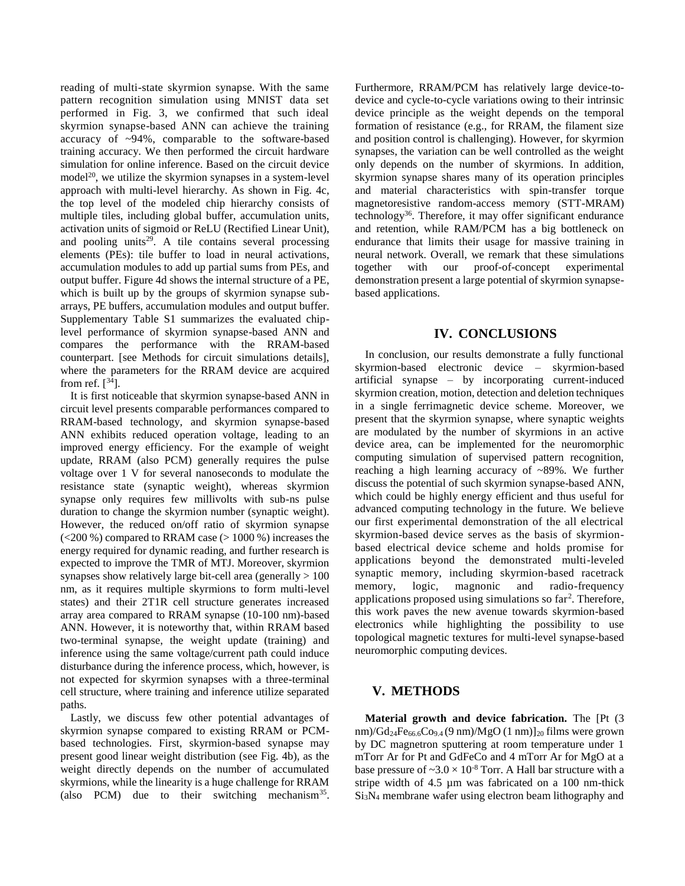reading of multi-state skyrmion synapse. With the same pattern recognition simulation using MNIST data set performed in Fig. 3, we confirmed that such ideal skyrmion synapse-based ANN can achieve the training accuracy of ~94%, comparable to the software-based training accuracy. We then performed the circuit hardware simulation for online inference. Based on the circuit device  $model<sup>20</sup>$ , we utilize the skyrmion synapses in a system-level approach with multi-level hierarchy. As shown in Fig. 4c, the top level of the modeled chip hierarchy consists of multiple tiles, including global buffer, accumulation units, activation units of sigmoid or ReLU (Rectified Linear Unit), and pooling units<sup>29</sup>. A tile contains several processing elements (PEs): tile buffer to load in neural activations, accumulation modules to add up partial sums from PEs, and output buffer. Figure 4d shows the internal structure of a PE, which is built up by the groups of skyrmion synapse subarrays, PE buffers, accumulation modules and output buffer. Supplementary Table S1 summarizes the evaluated chiplevel performance of skyrmion synapse-based ANN and compares the performance with the RRAM-based counterpart. [see Methods for circuit simulations details], where the parameters for the RRAM device are acquired from ref.  $[34]$ .

It is first noticeable that skyrmion synapse-based ANN in circuit level presents comparable performances compared to RRAM-based technology, and skyrmion synapse-based ANN exhibits reduced operation voltage, leading to an improved energy efficiency. For the example of weight update, RRAM (also PCM) generally requires the pulse voltage over 1 V for several nanoseconds to modulate the resistance state (synaptic weight), whereas skyrmion synapse only requires few millivolts with sub-ns pulse duration to change the skyrmion number (synaptic weight). However, the reduced on/off ratio of skyrmion synapse (<200 %) compared to RRAM case (> 1000 %) increases the energy required for dynamic reading, and further research is expected to improve the TMR of MTJ. Moreover, skyrmion synapses show relatively large bit-cell area (generally  $> 100$ ) nm, as it requires multiple skyrmions to form multi-level states) and their 2T1R cell structure generates increased array area compared to RRAM synapse (10-100 nm)-based ANN. However, it is noteworthy that, within RRAM based two-terminal synapse, the weight update (training) and inference using the same voltage/current path could induce disturbance during the inference process, which, however, is not expected for skyrmion synapses with a three-terminal cell structure, where training and inference utilize separated paths.

Lastly, we discuss few other potential advantages of skyrmion synapse compared to existing RRAM or PCMbased technologies. First, skyrmion-based synapse may present good linear weight distribution (see Fig. 4b), as the weight directly depends on the number of accumulated skyrmions, while the linearity is a huge challenge for RRAM (also PCM) due to their switching mechanism<sup>35</sup>.

Furthermore, RRAM/PCM has relatively large device-todevice and cycle-to-cycle variations owing to their intrinsic device principle as the weight depends on the temporal formation of resistance (e.g., for RRAM, the filament size and position control is challenging). However, for skyrmion synapses, the variation can be well controlled as the weight only depends on the number of skyrmions. In addition, skyrmion synapse shares many of its operation principles and material characteristics with spin-transfer torque magnetoresistive random-access memory (STT-MRAM) technology<sup>36</sup>. Therefore, it may offer significant endurance and retention, while RAM/PCM has a big bottleneck on endurance that limits their usage for massive training in neural network. Overall, we remark that these simulations together with our proof-of-concept experimental demonstration present a large potential of skyrmion synapsebased applications.

## **IV. CONCLUSIONS**

In conclusion, our results demonstrate a fully functional skyrmion-based electronic device – skyrmion-based artificial synapse – by incorporating current-induced skyrmion creation, motion, detection and deletion techniques in a single ferrimagnetic device scheme. Moreover, we present that the skyrmion synapse, where synaptic weights are modulated by the number of skyrmions in an active device area, can be implemented for the neuromorphic computing simulation of supervised pattern recognition, reaching a high learning accuracy of ~89%. We further discuss the potential of such skyrmion synapse-based ANN, which could be highly energy efficient and thus useful for advanced computing technology in the future. We believe our first experimental demonstration of the all electrical skyrmion-based device serves as the basis of skyrmionbased electrical device scheme and holds promise for applications beyond the demonstrated multi-leveled synaptic memory, including skyrmion-based racetrack memory, logic, magnonic and radio-frequency applications proposed using simulations so far<sup>2</sup>. Therefore, this work paves the new avenue towards skyrmion-based electronics while highlighting the possibility to use topological magnetic textures for multi-level synapse-based neuromorphic computing devices.

# **V. METHODS**

**Material growth and device fabrication.** The [Pt (3 nm)/ $Gd_{24}Fe_{66.6}Co_{9.4} (9 \text{ nm})/MgO (1 \text{ nm})]_{20}$  films were grown by DC magnetron sputtering at room temperature under 1 mTorr Ar for Pt and GdFeCo and 4 mTorr Ar for MgO at a base pressure of  $\sim$ 3.0  $\times$  10<sup>-8</sup> Torr. A Hall bar structure with a stripe width of 4.5 µm was fabricated on a 100 nm-thick Si3N<sup>4</sup> membrane wafer using electron beam lithography and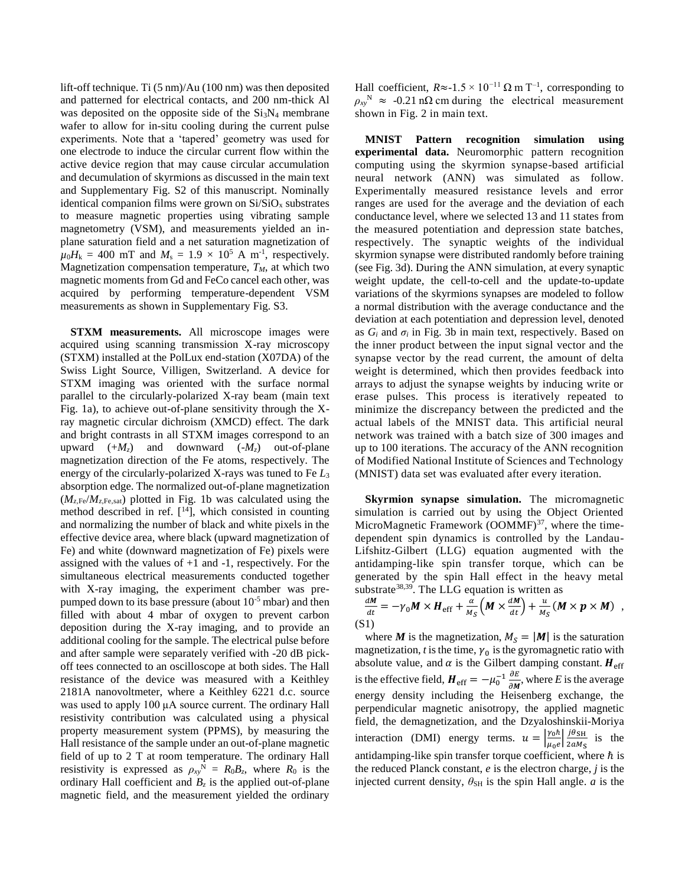lift-off technique. Ti (5 nm)/Au (100 nm) was then deposited and patterned for electrical contacts, and 200 nm-thick Al was deposited on the opposite side of the  $Si<sub>3</sub>N<sub>4</sub>$  membrane wafer to allow for in-situ cooling during the current pulse experiments. Note that a 'tapered' geometry was used for one electrode to induce the circular current flow within the active device region that may cause circular accumulation and decumulation of skyrmions as discussed in the main text and Supplementary Fig. S2 of this manuscript. Nominally identical companion films were grown on  $Si/SiO<sub>x</sub>$  substrates to measure magnetic properties using vibrating sample magnetometry (VSM), and measurements yielded an inplane saturation field and a net saturation magnetization of  $\mu_0 H_k = 400$  mT and  $M_s = 1.9 \times 10^5$  A m<sup>-1</sup>, respectively. Magnetization compensation temperature,  $T_M$ , at which two magnetic moments from Gd and FeCo cancel each other, was acquired by performing temperature-dependent VSM measurements as shown in Supplementary Fig. S3.

**STXM measurements.** All microscope images were acquired using scanning transmission X-ray microscopy (STXM) installed at the PolLux end-station (X07DA) of the Swiss Light Source, Villigen, Switzerland. A device for STXM imaging was oriented with the surface normal parallel to the circularly-polarized X-ray beam (main text Fig. 1a), to achieve out-of-plane sensitivity through the Xray magnetic circular dichroism (XMCD) effect. The dark and bright contrasts in all STXM images correspond to an upward  $(+M_z)$  and downward  $(-M_z)$  out-of-plane magnetization direction of the Fe atoms, respectively. The energy of the circularly-polarized X-rays was tuned to Fe *L*<sup>3</sup> absorption edge. The normalized out-of-plane magnetization  $(M_{z,Fe}/M_{z,Fe,sat})$  plotted in Fig. 1b was calculated using the method described in ref.  $[14]$ , which consisted in counting and normalizing the number of black and white pixels in the effective device area, where black (upward magnetization of Fe) and white (downward magnetization of Fe) pixels were assigned with the values of  $+1$  and  $-1$ , respectively. For the simultaneous electrical measurements conducted together with X-ray imaging, the experiment chamber was prepumped down to its base pressure (about  $10^{-5}$  mbar) and then filled with about 4 mbar of oxygen to prevent carbon deposition during the X-ray imaging, and to provide an additional cooling for the sample. The electrical pulse before and after sample were separately verified with -20 dB pickoff tees connected to an oscilloscope at both sides. The Hall resistance of the device was measured with a Keithley 2181A nanovoltmeter, where a Keithley 6221 d.c. source was used to apply 100 µA source current. The ordinary Hall resistivity contribution was calculated using a physical property measurement system (PPMS), by measuring the Hall resistance of the sample under an out-of-plane magnetic field of up to 2 T at room temperature. The ordinary Hall resistivity is expressed as  $\rho_{xy}^N = R_0 B_z$ , where  $R_0$  is the ordinary Hall coefficient and  $B_z$  is the applied out-of-plane magnetic field, and the measurement yielded the ordinary

Hall coefficient,  $R \approx -1.5 \times 10^{-11} \Omega \text{ m T}^{-1}$ , corresponding to  $\rho_{xy}$ <sup>N</sup>  $\approx$  -0.21 nΩ cm during the electrical measurement shown in Fig. 2 in main text.

**MNIST Pattern recognition simulation using experimental data.** Neuromorphic pattern recognition computing using the skyrmion synapse-based artificial neural network (ANN) was simulated as follow. Experimentally measured resistance levels and error ranges are used for the average and the deviation of each conductance level, where we selected 13 and 11 states from the measured potentiation and depression state batches, respectively. The synaptic weights of the individual skyrmion synapse were distributed randomly before training (see Fig. 3d). During the ANN simulation, at every synaptic weight update, the cell-to-cell and the update-to-update variations of the skyrmions synapses are modeled to follow a normal distribution with the average conductance and the deviation at each potentiation and depression level, denoted as  $G_i$  and  $\sigma_i$  in Fig. 3b in main text, respectively. Based on the inner product between the input signal vector and the synapse vector by the read current, the amount of delta weight is determined, which then provides feedback into arrays to adjust the synapse weights by inducing write or erase pulses. This process is iteratively repeated to minimize the discrepancy between the predicted and the actual labels of the MNIST data. This artificial neural network was trained with a batch size of 300 images and up to 100 iterations. The accuracy of the ANN recognition of Modified National Institute of Sciences and Technology (MNIST) data set was evaluated after every iteration.

**Skyrmion synapse simulation.** The micromagnetic simulation is carried out by using the Object Oriented MicroMagnetic Framework  $(OOMMF)^{37}$ , where the timedependent spin dynamics is controlled by the Landau-Lifshitz-Gilbert (LLG) equation augmented with the antidamping-like spin transfer torque, which can be generated by the spin Hall effect in the heavy metal substrate<sup>38,39</sup>. The LLG equation is written as

$$
\frac{dM}{dt} = -\gamma_0 M \times H_{\rm eff} + \frac{\alpha}{M_S} \Big( M \times \frac{dM}{dt} \Big) + \frac{u}{M_S} \left( M \times p \times M \right) ,
$$
\n(S1)

where *M* is the magnetization,  $M_s = |M|$  is the saturation magnetization,  $t$  is the time,  $\gamma_0$  is the gyromagnetic ratio with absolute value, and  $\alpha$  is the Gilbert damping constant.  $H_{\text{eff}}$ is the effective field,  $H_{\text{eff}} = -\mu_0^{-1} \frac{\partial E}{\partial M}$  $\frac{\partial E}{\partial M}$ , where *E* is the average energy density including the Heisenberg exchange, the perpendicular magnetic anisotropy, the applied magnetic field, the demagnetization, and the Dzyaloshinskii-Moriya interaction (DMI) energy terms.  $u = \frac{y_0 \hbar}{m}$  $\frac{\gamma_0 \hbar}{\mu_0 e} \frac{j \theta_{\text{SH}}}{2 a M_{\text{S}}}$  $\frac{f \sigma_{\text{SH}}}{2aM_{\text{S}}}$  is the antidamping-like spin transfer torque coefficient, where  $\hbar$  is the reduced Planck constant, *e* is the electron charge, *j* is the injected current density,  $\theta_{\text{SH}}$  is the spin Hall angle. *a* is the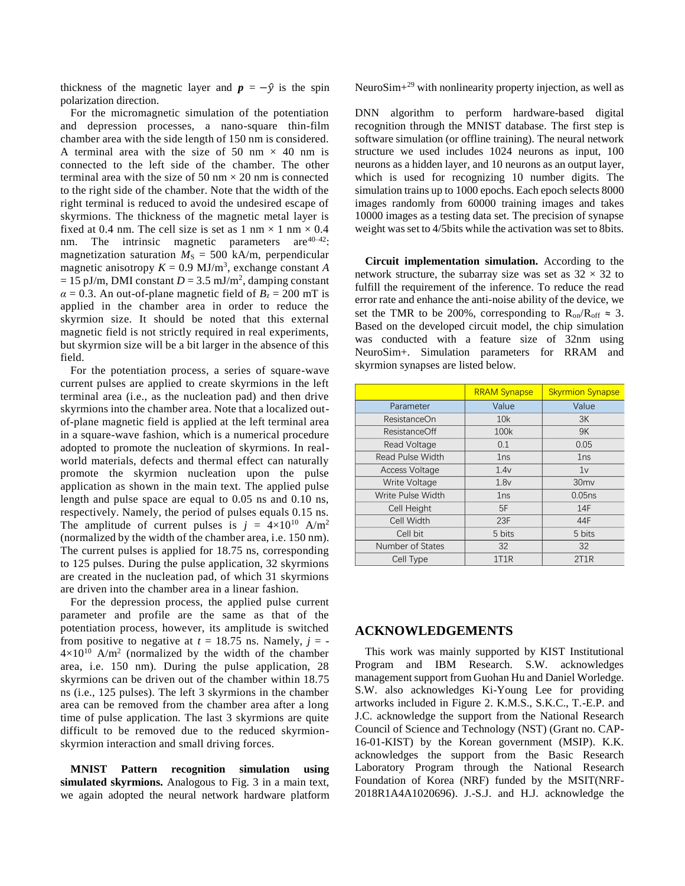thickness of the magnetic layer and  $p = -\hat{y}$  is the spin polarization direction.

For the micromagnetic simulation of the potentiation and depression processes, a nano-square thin-film chamber area with the side length of 150 nm is considered. A terminal area with the size of 50 nm  $\times$  40 nm is connected to the left side of the chamber. The other terminal area with the size of 50 nm  $\times$  20 nm is connected to the right side of the chamber. Note that the width of the right terminal is reduced to avoid the undesired escape of skyrmions. The thickness of the magnetic metal layer is fixed at 0.4 nm. The cell size is set as  $1 \text{ nm} \times 1 \text{ nm} \times 0.4$ <br>nm. The intrinsic magnetic parameters are  $40-42$ . The intrinsic magnetic parameters are  $40-42$ : magnetization saturation  $M<sub>S</sub> = 500$  kA/m, perpendicular magnetic anisotropy  $K = 0.9$  MJ/m<sup>3</sup>, exchange constant *A*  $= 15$  pJ/m, DMI constant  $D = 3.5$  mJ/m<sup>2</sup>, damping constant  $\alpha = 0.3$ . An out-of-plane magnetic field of  $B_7 = 200$  mT is applied in the chamber area in order to reduce the skyrmion size. It should be noted that this external magnetic field is not strictly required in real experiments, but skyrmion size will be a bit larger in the absence of this field.

For the potentiation process, a series of square-wave current pulses are applied to create skyrmions in the left terminal area (i.e., as the nucleation pad) and then drive skyrmions into the chamber area. Note that a localized outof-plane magnetic field is applied at the left terminal area in a square-wave fashion, which is a numerical procedure adopted to promote the nucleation of skyrmions. In realworld materials, defects and thermal effect can naturally promote the skyrmion nucleation upon the pulse application as shown in the main text. The applied pulse length and pulse space are equal to 0.05 ns and 0.10 ns, respectively. Namely, the period of pulses equals 0.15 ns. The amplitude of current pulses is  $j = 4 \times 10^{10}$  A/m<sup>2</sup> (normalized by the width of the chamber area, i.e. 150 nm). The current pulses is applied for 18.75 ns, corresponding to 125 pulses. During the pulse application, 32 skyrmions are created in the nucleation pad, of which 31 skyrmions are driven into the chamber area in a linear fashion.

For the depression process, the applied pulse current parameter and profile are the same as that of the potentiation process, however, its amplitude is switched from positive to negative at  $t = 18.75$  ns. Namely,  $j = 4 \times 10^{10}$  A/m<sup>2</sup> (normalized by the width of the chamber area, i.e. 150 nm). During the pulse application, 28 skyrmions can be driven out of the chamber within 18.75 ns (i.e., 125 pulses). The left 3 skyrmions in the chamber area can be removed from the chamber area after a long time of pulse application. The last 3 skyrmions are quite difficult to be removed due to the reduced skyrmionskyrmion interaction and small driving forces.

**MNIST Pattern recognition simulation using simulated skyrmions.** Analogous to Fig. 3 in a main text, we again adopted the neural network hardware platform

NeuroSim+<sup>29</sup> with nonlinearity property injection, as well as

DNN algorithm to perform hardware-based digital recognition through the MNIST database. The first step is software simulation (or offline training). The neural network structure we used includes 1024 neurons as input, 100 neurons as a hidden layer, and 10 neurons as an output layer, which is used for recognizing 10 number digits. The simulation trains up to 1000 epochs. Each epoch selects 8000 images randomly from 60000 training images and takes 10000 images as a testing data set. The precision of synapse weight was set to 4/5bits while the activation was set to 8bits.

**Circuit implementation simulation.** According to the network structure, the subarray size was set as  $32 \times 32$  to fulfill the requirement of the inference. To reduce the read error rate and enhance the anti-noise ability of the device, we set the TMR to be 200%, corresponding to  $R_{on}/R_{off} \approx 3$ . Based on the developed circuit model, the chip simulation was conducted with a feature size of 32nm using NeuroSim+. Simulation parameters for RRAM and skyrmion synapses are listed below.

|                         | <b>RRAM Synapse</b> | <b>Skyrmion Synapse</b> |
|-------------------------|---------------------|-------------------------|
| Parameter               | Value               | Value                   |
| ResistanceOn            | 10k                 | 3K                      |
| ResistanceOff           | 100k                | 9K                      |
| Read Voltage            | 0.1                 | 0.05                    |
| <b>Read Pulse Width</b> | 1ns                 | 1ns                     |
| <b>Access Voltage</b>   | 1.4v                | 1v                      |
| Write Voltage           | 1.8v                | 30 <sub>mv</sub>        |
| Write Pulse Width       | 1ns                 | 0.05ns                  |
| Cell Height             | 5F                  | 14F                     |
| Cell Width              | 23F                 | 44F                     |
| Cell bit                | 5 bits              | 5 bits                  |
| Number of States        | 32                  | 32                      |
| Cell Type               | 1T1R                | 2T1R                    |

### **ACKNOWLEDGEMENTS**

This work was mainly supported by KIST Institutional Program and IBM Research. S.W. acknowledges management support from Guohan Hu and Daniel Worledge. S.W. also acknowledges Ki-Young Lee for providing artworks included in Figure 2. K.M.S., S.K.C., T.-E.P. and J.C. acknowledge the support from the National Research Council of Science and Technology (NST) (Grant no. CAP-16-01-KIST) by the Korean government (MSIP). K.K. acknowledges the support from the Basic Research Laboratory Program through the National Research Foundation of Korea (NRF) funded by the MSIT(NRF-2018R1A4A1020696). J.-S.J. and H.J. acknowledge the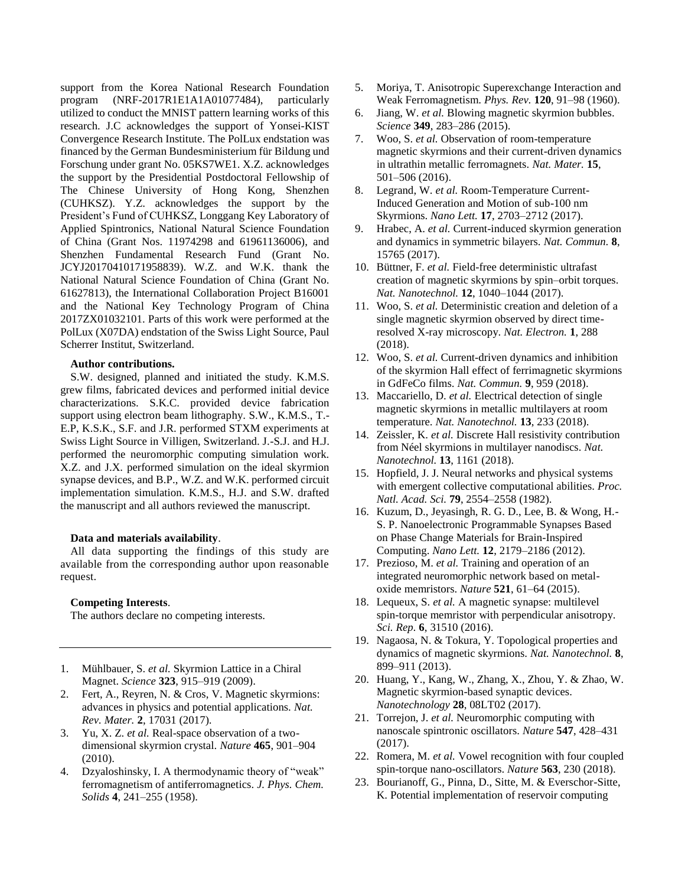support from the Korea National Research Foundation program (NRF-2017R1E1A1A01077484), particularly utilized to conduct the MNIST pattern learning works of this research. J.C acknowledges the support of Yonsei-KIST Convergence Research Institute. The PolLux endstation was financed by the German Bundesministerium für Bildung und Forschung under grant No. 05KS7WE1. X.Z. acknowledges the support by the Presidential Postdoctoral Fellowship of The Chinese University of Hong Kong, Shenzhen (CUHKSZ). Y.Z. acknowledges the support by the President's Fund of CUHKSZ, Longgang Key Laboratory of Applied Spintronics, National Natural Science Foundation of China (Grant Nos. 11974298 and 61961136006), and Shenzhen Fundamental Research Fund (Grant No. JCYJ20170410171958839). W.Z. and W.K. thank the National Natural Science Foundation of China (Grant No. 61627813), the International Collaboration Project B16001 and the National Key Technology Program of China 2017ZX01032101. Parts of this work were performed at the PolLux (X07DA) endstation of the Swiss Light Source, Paul Scherrer Institut, Switzerland.

#### **Author contributions.**

S.W. designed, planned and initiated the study. K.M.S. grew films, fabricated devices and performed initial device characterizations. S.K.C. provided device fabrication support using electron beam lithography. S.W., K.M.S., T.- E.P, K.S.K., S.F. and J.R. performed STXM experiments at Swiss Light Source in Villigen, Switzerland. J.-S.J. and H.J. performed the neuromorphic computing simulation work. X.Z. and J.X. performed simulation on the ideal skyrmion synapse devices, and B.P., W.Z. and W.K. performed circuit implementation simulation. K.M.S., H.J. and S.W. drafted the manuscript and all authors reviewed the manuscript.

#### **Data and materials availability**.

All data supporting the findings of this study are available from the corresponding author upon reasonable request.

### **Competing Interests**.

The authors declare no competing interests.

- 1. Mühlbauer, S. *et al.* Skyrmion Lattice in a Chiral Magnet. *Science* **323**, 915–919 (2009).
- 2. Fert, A., Reyren, N. & Cros, V. Magnetic skyrmions: advances in physics and potential applications. *Nat. Rev. Mater.* **2**, 17031 (2017).
- 3. Yu, X. Z. *et al.* Real-space observation of a twodimensional skyrmion crystal. *Nature* **465**, 901–904 (2010).
- 4. Dzyaloshinsky, I. A thermodynamic theory of "weak" ferromagnetism of antiferromagnetics. *J. Phys. Chem. Solids* **4**, 241–255 (1958).
- 5. Moriya, T. Anisotropic Superexchange Interaction and Weak Ferromagnetism. *Phys. Rev.* **120**, 91–98 (1960).
- 6. Jiang, W. *et al.* Blowing magnetic skyrmion bubbles. *Science* **349**, 283–286 (2015).
- 7. Woo, S. *et al.* Observation of room-temperature magnetic skyrmions and their current-driven dynamics in ultrathin metallic ferromagnets. *Nat. Mater.* **15**, 501–506 (2016).
- 8. Legrand, W. *et al.* Room-Temperature Current-Induced Generation and Motion of sub-100 nm Skyrmions. *Nano Lett.* **17**, 2703–2712 (2017).
- 9. Hrabec, A. *et al.* Current-induced skyrmion generation and dynamics in symmetric bilayers. *Nat. Commun.* **8**, 15765 (2017).
- 10. Büttner, F. *et al.* Field-free deterministic ultrafast creation of magnetic skyrmions by spin–orbit torques. *Nat. Nanotechnol.* **12**, 1040–1044 (2017).
- 11. Woo, S. *et al.* Deterministic creation and deletion of a single magnetic skyrmion observed by direct timeresolved X-ray microscopy. *Nat. Electron.* **1**, 288 (2018).
- 12. Woo, S. *et al.* Current-driven dynamics and inhibition of the skyrmion Hall effect of ferrimagnetic skyrmions in GdFeCo films. *Nat. Commun.* **9**, 959 (2018).
- 13. Maccariello, D. *et al.* Electrical detection of single magnetic skyrmions in metallic multilayers at room temperature. *Nat. Nanotechnol.* **13**, 233 (2018).
- 14. Zeissler, K. *et al.* Discrete Hall resistivity contribution from Néel skyrmions in multilayer nanodiscs. *Nat. Nanotechnol.* **13**, 1161 (2018).
- 15. Hopfield, J. J. Neural networks and physical systems with emergent collective computational abilities. *Proc. Natl. Acad. Sci.* **79**, 2554–2558 (1982).
- 16. Kuzum, D., Jeyasingh, R. G. D., Lee, B. & Wong, H.- S. P. Nanoelectronic Programmable Synapses Based on Phase Change Materials for Brain-Inspired Computing. *Nano Lett.* **12**, 2179–2186 (2012).
- 17. Prezioso, M. *et al.* Training and operation of an integrated neuromorphic network based on metaloxide memristors. *Nature* **521**, 61–64 (2015).
- 18. Lequeux, S. *et al.* A magnetic synapse: multilevel spin-torque memristor with perpendicular anisotropy. *Sci. Rep.* **6**, 31510 (2016).
- 19. Nagaosa, N. & Tokura, Y. Topological properties and dynamics of magnetic skyrmions. *Nat. Nanotechnol.* **8**, 899–911 (2013).
- 20. Huang, Y., Kang, W., Zhang, X., Zhou, Y. & Zhao, W. Magnetic skyrmion-based synaptic devices. *Nanotechnology* **28**, 08LT02 (2017).
- 21. Torrejon, J. *et al.* Neuromorphic computing with nanoscale spintronic oscillators. *Nature* **547**, 428–431 (2017).
- 22. Romera, M. *et al.* Vowel recognition with four coupled spin-torque nano-oscillators. *Nature* **563**, 230 (2018).
- 23. Bourianoff, G., Pinna, D., Sitte, M. & Everschor-Sitte, K. Potential implementation of reservoir computing